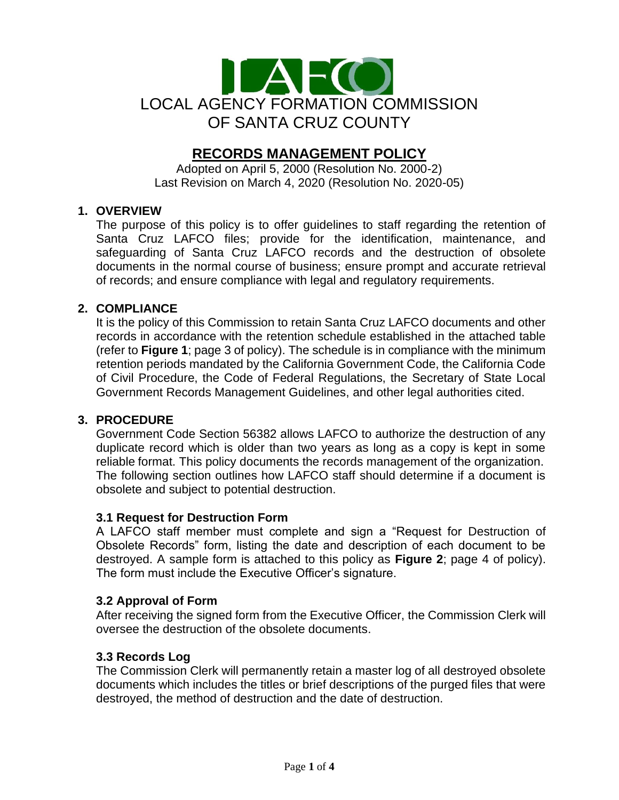

# **RECORDS MANAGEMENT POLICY**

Adopted on April 5, 2000 (Resolution No. 2000-2) Last Revision on March 4, 2020 (Resolution No. 2020-05)

# **1. OVERVIEW**

The purpose of this policy is to offer guidelines to staff regarding the retention of Santa Cruz LAFCO files; provide for the identification, maintenance, and safeguarding of Santa Cruz LAFCO records and the destruction of obsolete documents in the normal course of business; ensure prompt and accurate retrieval of records; and ensure compliance with legal and regulatory requirements.

# **2. COMPLIANCE**

It is the policy of this Commission to retain Santa Cruz LAFCO documents and other records in accordance with the retention schedule established in the attached table (refer to **Figure 1**; page 3 of policy). The schedule is in compliance with the minimum retention periods mandated by the California Government Code, the California Code of Civil Procedure, the Code of Federal Regulations, the Secretary of State Local Government Records Management Guidelines, and other legal authorities cited.

#### **3. PROCEDURE**

Government Code Section 56382 allows LAFCO to authorize the destruction of any duplicate record which is older than two years as long as a copy is kept in some reliable format. This policy documents the records management of the organization. The following section outlines how LAFCO staff should determine if a document is obsolete and subject to potential destruction.

#### **3.1 Request for Destruction Form**

A LAFCO staff member must complete and sign a "Request for Destruction of Obsolete Records" form, listing the date and description of each document to be destroyed. A sample form is attached to this policy as **Figure 2**; page 4 of policy). The form must include the Executive Officer's signature.

#### **3.2 Approval of Form**

After receiving the signed form from the Executive Officer, the Commission Clerk will oversee the destruction of the obsolete documents.

#### **3.3 Records Log**

The Commission Clerk will permanently retain a master log of all destroyed obsolete documents which includes the titles or brief descriptions of the purged files that were destroyed, the method of destruction and the date of destruction.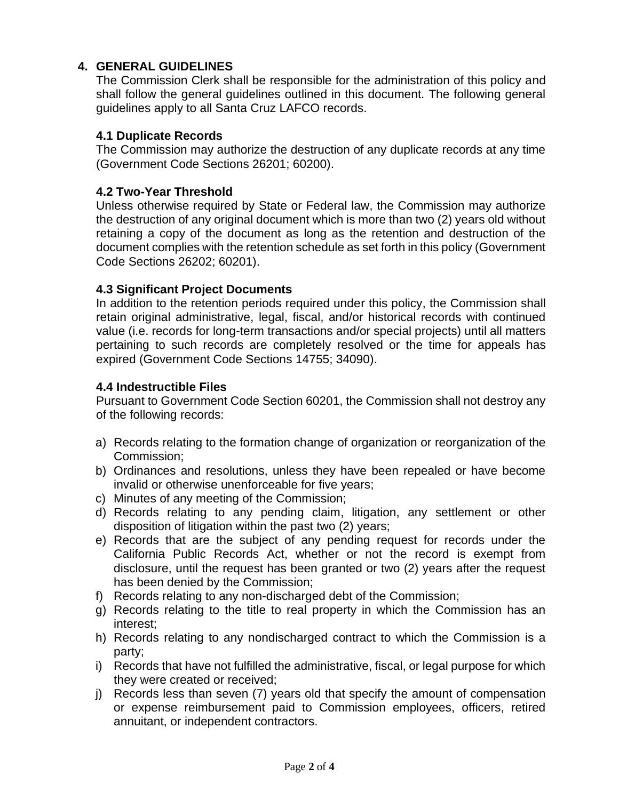# **4. GENERAL GUIDELINES**

The Commission Clerk shall be responsible for the administration of this policy and shall follow the general guidelines outlined in this document. The following general guidelines apply to all Santa Cruz LAFCO records.

# **4.1 Duplicate Records**

The Commission may authorize the destruction of any duplicate records at any time (Government Code Sections 26201; 60200).

# **4.2 Two-Year Threshold**

Unless otherwise required by State or Federal law, the Commission may authorize the destruction of any original document which is more than two (2) years old without retaining a copy of the document as long as the retention and destruction of the document complies with the retention schedule as set forth in this policy (Government Code Sections 26202; 60201).

# **4.3 Significant Project Documents**

In addition to the retention periods required under this policy, the Commission shall retain original administrative, legal, fiscal, and/or historical records with continued value (i.e. records for long-term transactions and/or special projects) until all matters pertaining to such records are completely resolved or the time for appeals has expired (Government Code Sections 14755; 34090).

#### **4.4 Indestructible Files**

Pursuant to Government Code Section 60201, the Commission shall not destroy any of the following records:

- a) Records relating to the formation change of organization or reorganization of the Commission;
- b) Ordinances and resolutions, unless they have been repealed or have become invalid or otherwise unenforceable for five years;
- c) Minutes of any meeting of the Commission;
- d) Records relating to any pending claim, litigation, any settlement or other disposition of litigation within the past two (2) years;
- e) Records that are the subject of any pending request for records under the California Public Records Act, whether or not the record is exempt from disclosure, until the request has been granted or two (2) years after the request has been denied by the Commission;
- f) Records relating to any non-discharged debt of the Commission;
- g) Records relating to the title to real property in which the Commission has an interest;
- h) Records relating to any nondischarged contract to which the Commission is a party;
- i) Records that have not fulfilled the administrative, fiscal, or legal purpose for which they were created or received;
- j) Records less than seven (7) years old that specify the amount of compensation or expense reimbursement paid to Commission employees, officers, retired annuitant, or independent contractors.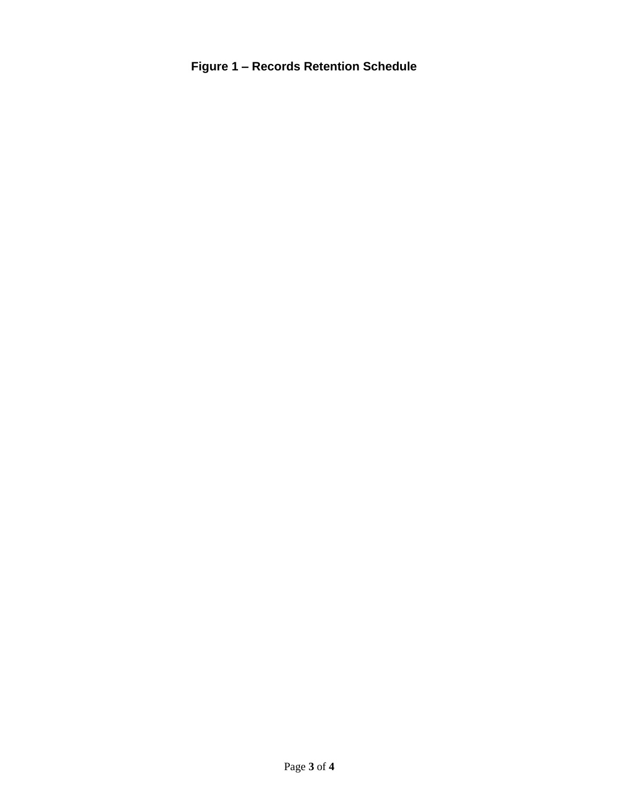**Figure 1 – Records Retention Schedule**